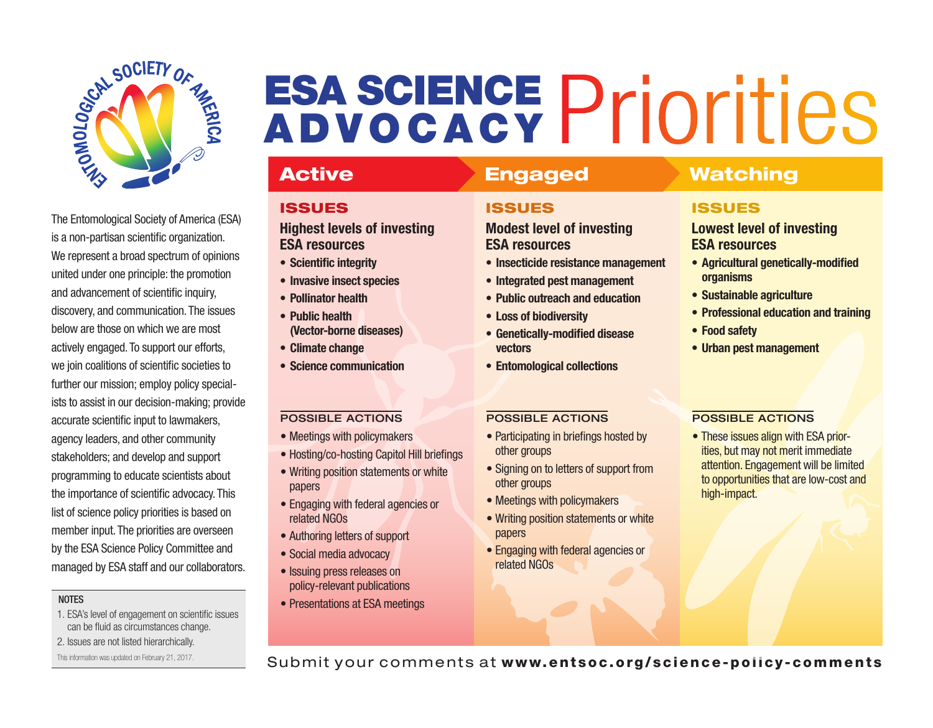

The Entomological Society of America (ESA) is a non-partisan scientific organization. We represent a broad spectrum of opinions united under one principle: the promotion and advancement of scientific inquiry, discovery, and communication. The issues below are those on which we are most actively engaged. To support our efforts, we join coalitions of scientific societies to further our mission; employ policy specialists to assist in our decision-making; provide accurate scientific input to lawmakers, agency leaders, and other community stakeholders; and develop and support programming to educate scientists about the importance of scientific advocacy. This list of science policy priorities is based on member input. The priorities are overseen by the ESA Science Policy Committee and managed by ESA staff and our collaborators.

#### **NOTES**

1. ESA's level of engagement on scientific issues can be fluid as circumstances change.

2. Issues are not listed hierarchically.

This information was updated on February 21, 2017.

# ESA SCIENCE ESA SCIENCE Priorities

# **ISSUES**

Highest levels of investing ESA resources

- Scientific integrity
- Invasive insect species
- Pollinator health
- Public health
	- (Vector-borne diseases)
- Climate change
- Science communication

#### POSSIBLE ACTIONS

- Meetings with policymakers
- Hosting/co-hosting Capitol Hill briefings
- Writing position statements or white papers
- Engaging with federal agencies or related NGOs
- Authoring letters of support
- Social media advocacy
- Issuing press releases on policy-relevant publications
- Presentations at ESA meetings

# Active **Engaged**

## **ISSUES**

#### Modest level of investing ESA resources

- Insecticide resistance management
- Integrated pest management
- Public outreach and education
- Loss of biodiversity
- Genetically-modified disease vectors
- Entomological collections

#### POSSIBLE ACTIONS

- Participating in briefings hosted by other groups
- Signing on to letters of support from other groups
- Meetings with policymakers
- Writing position statements or white papers
- Engaging with federal agencies or related NGOs

# **Watching**

### **ISSUES**

Lowest level of investing ESA resources

- Agricultural genetically-modified organisms
- Sustainable agriculture
- Professional education and training
- Food safety
- Urban pest management

#### POSSIBLE ACTIONS

• These issues align with ESA priorities, but may not merit immediate attention. Engagement will be limited to opportunities that are low-cost and high-impact.

Submit your comments at www.entsoc.org/science-policy-comments